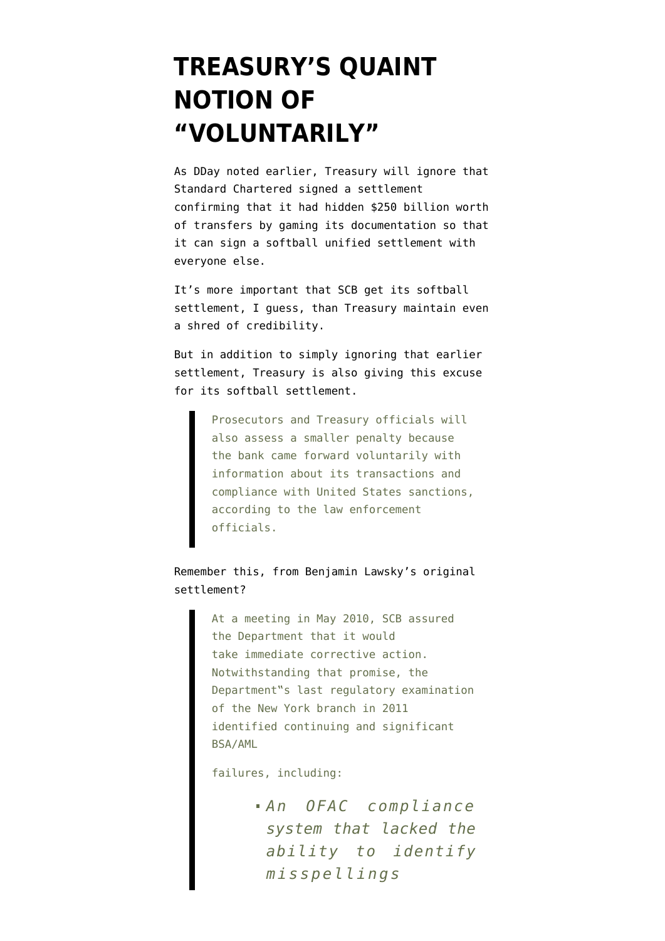## **[TREASURY'S QUAINT](https://www.emptywheel.net/2012/09/13/treasurys-quaint-notion-of-voluntarily/) [NOTION OF](https://www.emptywheel.net/2012/09/13/treasurys-quaint-notion-of-voluntarily/) ["VOLUNTARILY"](https://www.emptywheel.net/2012/09/13/treasurys-quaint-notion-of-voluntarily/)**

As [DDay noted](http://news.firedoglake.com/2012/09/13/treasury-lowballs-settlement-against-standard-chartered-despite-large-award-to-new-york-regulator/) earlier, Treasury will [ignore](http://www.nytimes.com/2012/09/13/business/treasury-approves-standard-chartered-accord.html) that Standard Chartered signed a settlement [confirming](http://www.emptywheel.net/2012/08/14/standard-chartered-bank-admits-promontorys-estimates-of-its-iran-business-were-wrong/) that it had hidden \$250 billion worth of transfers by gaming its documentation so that it can sign a softball unified settlement with everyone else.

It's more important that SCB get its softball settlement, I guess, than Treasury maintain even a shred of credibility.

But in addition to simply ignoring that earlier settlement, Treasury is also giving this excuse for its softball settlement.

> Prosecutors and Treasury officials will also assess a smaller penalty because the bank came forward voluntarily with information about its transactions and compliance with United States sanctions, according to the law enforcement officials.

Remember [this](http://www.dfs.ny.gov/banking/ea120806.pdf), from Benjamin Lawsky's original settlement?

> At a meeting in May 2010, SCB assured the Department that it would take immediate corrective action. Notwithstanding that promise, the Department"s last regulatory examination of the New York branch in 2011 identified continuing and significant BSA/AML

failures, including:

*An OFAC compliance system that lacked the ability to identify misspellings*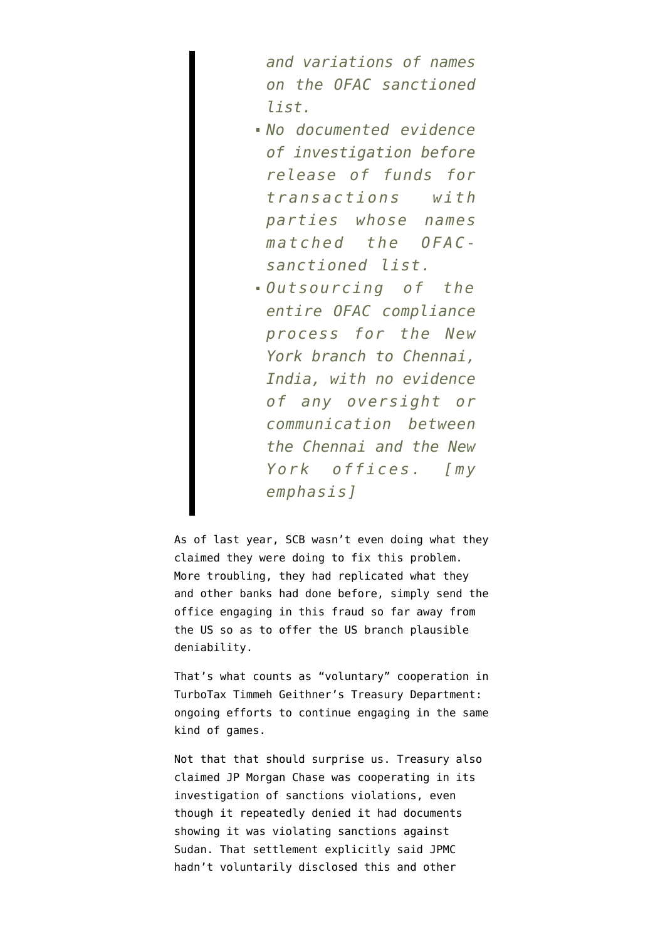*and variations of names on the OFAC sanctioned list.*

- *No documented evidence of investigation before release of funds for transactions with parties whose names matched the OFACsanctioned list.*
- *Outsourcing of the entire OFAC compliance process for the New York branch to Chennai, India, with no evidence of any oversight or communication between the Chennai and the New York offices. [my emphasis]*

As of last year, SCB wasn't even doing what they claimed they were doing to fix this problem. More troubling, they had replicated what they and other banks had done before, simply send the office engaging in this fraud so far away from the US so as to offer the US branch plausible deniability.

That's what counts as "voluntary" cooperation in TurboTax Timmeh Geithner's Treasury Department: ongoing efforts to continue engaging in the same kind of games.

Not that that should surprise us. Treasury also [claimed](http://www.emptywheel.net/2011/08/25/jamie-dimons-company-fined-88-3-million-for-trading-with-the-enemy/) JP Morgan Chase was cooperating in its investigation of sanctions violations, even though it repeatedly denied it had documents showing it was violating sanctions against Sudan. That settlement explicitly said JPMC hadn't voluntarily disclosed this and other